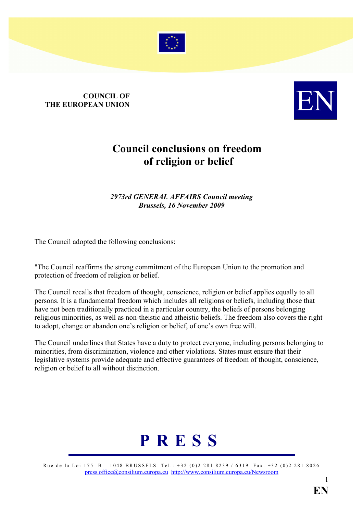

## COUNCIL OF **COUNCIL OF THE EUROPEAN UNION**



## Council conclusions on freedom of religion or belief

## 2973rd GENERAL AFFAIRS Council meeting Brussels, 16 November 2009

The Council adopted the following conclusions:

"The Council reaffirms the strong commitment of the European Union to the promotion and protection of freedom of religion or belief.

The Council recalls that freedom of thought, conscience, religion or belief applies equally to all persons. It is a fundamental freedom which includes all religions or beliefs, including those that have not been traditionally practiced in a particular country, the beliefs of persons belonging religious minorities, as well as non-theistic and atheistic beliefs. The freedom also covers the right to adopt, change or abandon one's religion or belief, of one's own free will.

The Council underlines that States have a duty to protect everyone, including persons belonging to minorities, from discrimination, violence and other violations. States must ensure that their legislative systems provide adequate and effective guarantees of freedom of thought, conscience, religion or belief to all without distinction.



Rue de la Loi 175 B – 1048 BRUSSELS Tel.: +32 (0)2 281 8239 / 6319 Fax: +32 (0)2 281 8026 [press.office@consilium.europa.eu](mailto:press.office@consilium.eu.int) [http://www.consilium.europa.eu/Newsroom](http://ue.eu.int/Newsroom)